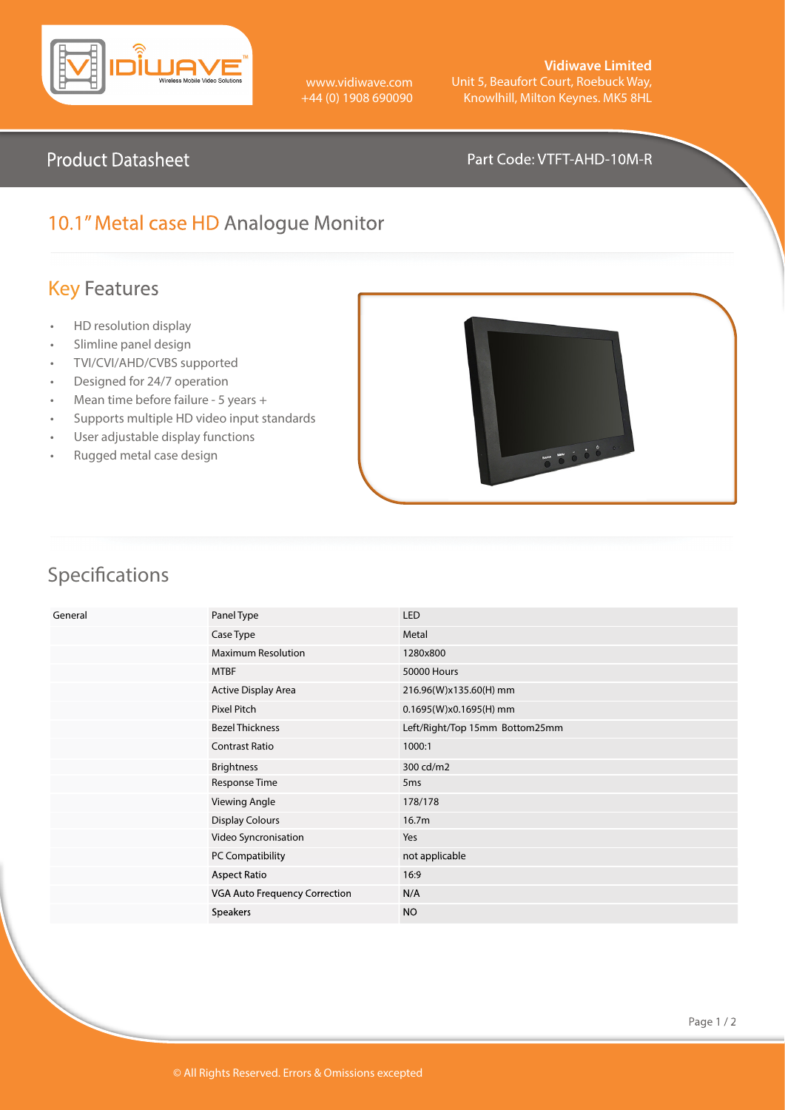

www.vidiwave.com +44 (0) 1908 690090

**Vidiwave Limited** Unit 5, Beaufort Court, Roebuck Way, Knowlhill, Milton Keynes. MK5 8HL

#### Product Datasheet **Part Code: VTFT-AHD-10M-R**

## 10.1" Metal case HD Analogue Monitor

## Key Features

- HD resolution display
- Slimline panel design
- TVI/CVI/AHD/CVBS supported
- Designed for 24/7 operation
- Mean time before failure 5 years +
- Supports multiple HD video input standards
- User adjustable display functions
- Rugged metal case design



# Specifications

| General | Panel Type                    | <b>LED</b>                     |
|---------|-------------------------------|--------------------------------|
|         | Case Type                     | Metal                          |
|         | <b>Maximum Resolution</b>     | 1280x800                       |
|         | <b>MTBF</b>                   | <b>50000 Hours</b>             |
|         | Active Display Area           | 216.96(W)x135.60(H) mm         |
|         | Pixel Pitch                   | 0.1695(W)x0.1695(H) mm         |
|         | <b>Bezel Thickness</b>        | Left/Right/Top 15mm Bottom25mm |
|         | <b>Contrast Ratio</b>         | 1000:1                         |
|         | <b>Brightness</b>             | 300 cd/m2                      |
|         | Response Time                 | 5 <sub>ms</sub>                |
|         | <b>Viewing Angle</b>          | 178/178                        |
|         | <b>Display Colours</b>        | 16.7 <sub>m</sub>              |
|         | Video Syncronisation          | Yes                            |
|         | PC Compatibility              | not applicable                 |
|         | Aspect Ratio                  | 16:9                           |
|         | VGA Auto Frequency Correction | N/A                            |
|         | <b>Speakers</b>               | <b>NO</b>                      |
|         |                               |                                |